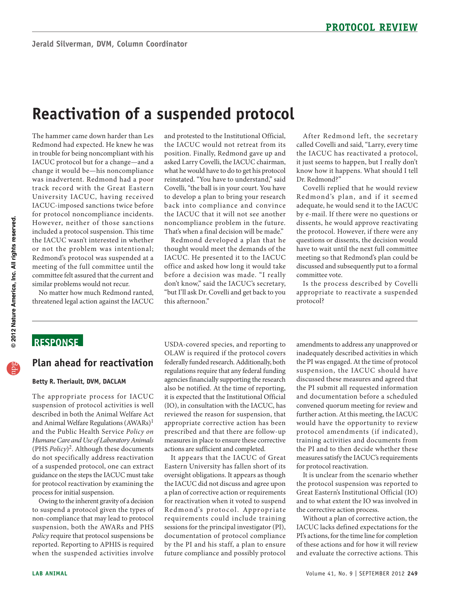# **Reactivation of a suspended protocol**

 Redmond had expected. He knew he was IACUC protocol but for a change—and a for protocol noncompliance incidents. However, neither of those sanctions included a protocol suspension. This time the IACUC wasn't interested in whether or not the problem was intentional; The hammer came down harder than Les in trouble for being noncompliant with his change it would be—his noncompliance was inadvertent. Redmond had a poor track record with the Great Eastern University IACUC, having received IACUC-imposed sanctions twice before Redmond's protocol was suspended at a meeting of the full committee until the committee felt assured that the current and similar problems would not recur.

No matter how much Redmond ranted, threatened legal action against the IACUC

 back into compliance and convince and protested to the Institutional Official, the IACUC would not retreat from its position. Finally, Redmond gave up and asked Larry Covelli, the IACUC chairman, what he would have to do to get his protocol reinstated. "You have to understand," said Covelli, "the ball is in your court. You have to develop a plan to bring your research the IACUC that it will not see another noncompliance problem in the future. That's when a final decision will be made."

 IACUC. He presented it to the IACUC Redmond developed a plan that he thought would meet the demands of the office and asked how long it would take before a decision was made. "I really don't know," said the IACUC's secretary, "but I'll ask Dr. Covelli and get back to you this afternoon."

After Redmond left, the secretary called Covelli and said, "Larry, every time the IACUC has reactivated a protocol, it just seems to happen, but I really don't know how it happens. What should I tell Dr. Redmond?"

 have to wait until the next full committee committee vote. Covelli replied that he would review Redmond's plan, and if it seemed adequate, he would send it to the IACUC by e-mail. If there were no questions or dissents, he would approve reactivating the protocol. However, if there were any questions or dissents, the decision would meeting so that Redmond's plan could be discussed and subsequently put to a formal

Is the process described by Covelli appropriate to reactivate a suspended protocol?

## **ReSponSe**

### **plan ahead for reactivation**

#### **Betty R. Theriault, DVM, DACLAM**

 described in both the Animal Welfare Act (PHS *Policy*)2. Although these documents of a suspended protocol, one can extract The appropriate process for IACUC suspension of protocol activities is well and Animal Welfare Regulations (AWARs)<sup>1</sup> and the Public Health Service *Policy on Humane Care and Use of Laboratory Animals*  do not specifically address reactivation guidance on the steps the IACUC must take for protocol reactivation by examining the process for initial suspension.

 Owing to the inherent gravity of a decision non-compliance that may lead to protocol *Policy* require that protocol suspensions be to suspend a protocol given the types of suspension, both the AWARs and PHS reported. Reporting to APHIS is required when the suspended activities involve

USDA-covered species, and reporting to OLAW is required if the protocol covers federally funded research. Additionally, both regulations require that any federal funding agencies financially supporting the research also be notified. At the time of reporting, it is expected that the Institutional Official (IO), in consultation with the IACUC, has reviewed the reason for suspension, that appropriate corrective action has been prescribed and that there are follow-up measures in place to ensure these corrective actions are sufficient and completed.

 for reactivation when it voted to suspend Redmond's protocol. Appropriate sessions for the principal investigator (PI), documentation of protocol compliance It appears that the IACUC of Great Eastern University has fallen short of its oversight obligations. It appears as though the IACUC did not discuss and agree upon a plan of corrective action or requirements requirements could include training by the PI and his staff, a plan to ensure future compliance and possibly protocol

 the PI was engaged. At the time of protocol the PI submit all requested information and documentation before a scheduled protocol amendments (if indicated), training activities and documents from for protocol reactivation. amendments to address any unapproved or inadequately described activities in which suspension, the IACUC should have discussed these measures and agreed that convened quorum meeting for review and further action. At this meeting, the IACUC would have the opportunity to review the PI and to then decide whether these measures satisfy the IACUC's requirements

It is unclear from the scenario whether the protocol suspension was reported to Great Eastern's Institutional Official (IO) and to what extent the IO was involved in the corrective action process.

Without a plan of corrective action, the IACUC lacks defined expectations for the PI's actions, for the time line for completion of these actions and for how it will review and evaluate the corrective actions. This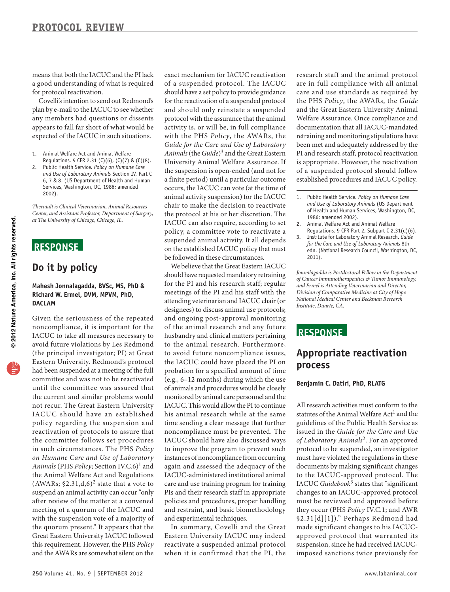means that both the IACUC and the PI lack a good understanding of what is required for protocol reactivation.

 plan by e-mail to the IACUC to see whether Covelli's intention to send out Redmond's any members had questions or dissents appears to fall far short of what would be expected of the IACUC in such situations.

- 1. Animal Welfare Act and Animal Welfare Regulations. 9 CFR 2.31 (C)(6), (C)(7) & (C)(8).
- 2. Public Health Service. *Policy on Humane Care and Use of Laboratory Animals* Section IV, Part C 6, 7 & 8. (US Department of Health and Human Services, Washington, DC, 1986; amended 2002).

*Theriault is Clinical Veterinarian, Animal Resources Center, and Assistant Professor, Department of Surgery, at The University of Chicago, Chicago, IL.* 

## **ReSponSe**

## **Do it by policy**

#### **Mahesh Jonnalagadda, BVSc, MS, phD & Richard W. ermel, DVM, MpVM, phD, DACLAM**

 IACUC to take all measures necessary to Eastern University. Redmond's protocol committee and was not to be reactivated IACUC should have an established the committee follows set procedures Given the seriousness of the repeated noncompliance, it is important for the avoid future violations by Les Redmond (the principal investigator; PI) at Great had been suspended at a meeting of the full until the committee was assured that the current and similar problems would not recur. The Great Eastern University policy regarding the suspension and reactivation of protocols to assure that in such circumstances. The PHS *Policy on Humane Care and Use of Laboratory Animals* (PHS *Policy*; Section IV.C.6)<sup>1</sup> and the Animal Welfare Act and Regulations (AWARs;  $$2.31,d,6$ )<sup>2</sup> state that a vote to suspend an animal activity can occur "only after review of the matter at a convened meeting of a quorum of the IACUC and with the suspension vote of a majority of the quorum present." It appears that the Great Eastern University IACUC followed this requirement. However, the PHS *Policy*  and the AWARs are somewhat silent on the

 exact mechanism for IACUC reactivation for the reactivation of a suspended protocol and should only reinstate a suspended protocol with the assurance that the animal activity is, or will be, in full compliance chair to make the decision to reactivate of a suspended protocol. The IACUC should have a set policy to provide guidance with the PHS *Policy*, the AWARs, the *Guide for the Care and Use of Laboratory Animals* (the *Guide*)3 and the Great Eastern University Animal Welfare Assurance. If the suspension is open-ended (and not for a finite period) until a particular outcome occurs, the IACUC can vote (at the time of animal activity suspension) for the IACUC the protocol at his or her discretion. The IACUC can also require, according to set policy, a committee vote to reactivate a suspended animal activity. It all depends on the established IACUC policy that must be followed in these circumstances.

 should have requested mandatory retraining designees) to discuss animal use protocols; and ongoing post-approval monitoring husbandry and clinical matters pertaining to the animal research. Furthermore, IACUC. This would allow the PI to continue time sending a clear message that further instances of noncompliance from occurring We believe that the Great Eastern IACUC for the PI and his research staff; regular meetings of the PI and his staff with the attending veterinarian and IACUC chair (or of the animal research and any future to avoid future noncompliance issues, the IACUC could have placed the PI on probation for a specified amount of time (e.g., 6–12 months) during which the use of animals and procedures would be closely monitored by animal care personnel and the his animal research while at the same noncompliance must be prevented. The IACUC should have also discussed ways to improve the program to prevent such again and assessed the adequacy of the IACUC-administered institutional animal care and use training program for training PIs and their research staff in appropriate policies and procedures, proper handling and restraint, and basic biomethodology and experimental techniques.

 reactivate a suspended animal protocol In summary, Covelli and the Great Eastern University IACUC may indeed when it is confirmed that the PI, the

 PI and research staff, protocol reactivation established procedures and IACUC policy. research staff and the animal protocol are in full compliance with all animal care and use standards as required by the PHS *Policy*, the AWARs, the *Guide*  and the Great Eastern University Animal Welfare Assurance. Once compliance and documentation that all IACUC-mandated retraining and monitoring stipulations have been met and adequately addressed by the is appropriate. However, the reactivation of a suspended protocol should follow

- 1. Public Health Service. *Policy on Humane Care and Use of Laboratory Animals* (US Department of Health and Human Services, Washington, DC, 1986; amended 2002).
- 2. Animal Welfare Act and Animal Welfare Regulations. 9 CFR Part 2, Subpart C 2.31(d)(6).
- 3. Institute for Laboratory Animal Research. *Guide for the Care and Use of Laboratory Animals* 8th edn. (National Research Council, Washington, DC, 2011).

*Jonnalagadda is Postdoctoral Fellow in the Department of Cancer Immunotherapeutics & Tumor Immunology, and Ermel is Attending Veterinarian and Director, Division of Comparative Medicine at City of Hope National Medical Center and Beckman Research Institute, Duarte, CA.* 

### **ReSponSe**

## **Appropriate reactivation process**

#### **Benjamin C. Datiri, phD, RLATG**

 protocol to be suspended, an investigator IACUC *Guidebook*3 states that "significant All research activities must conform to the statutes of the Animal Welfare Act<sup>1</sup> and the guidelines of the Public Health Service as issued in the *Guide for the Care and Use of Laboratory Animals*2. For an approved must have violated the regulations in these documents by making significant changes to the IACUC-approved protocol. The changes to an IACUC-approved protocol must be reviewed and approved before they occur (PHS *Policy* IV.C.1; and AWR §2.31[d][1])." Perhaps Redmond had made significant changes to his IACUCapproved protocol that warranted its suspension, since he had received IACUCimposed sanctions twice previously for